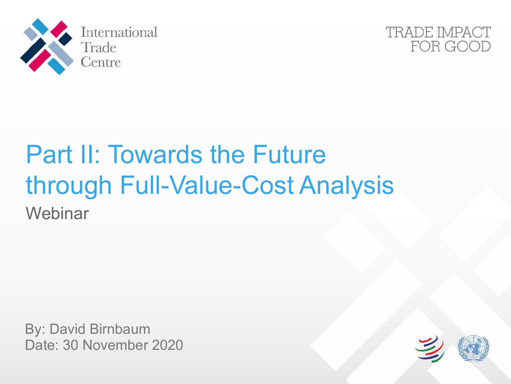



# Part II: Towards the Future through Full-Value-Cost Analysis **Webinar**

By: David Birnbaum Date: 30 November 2020

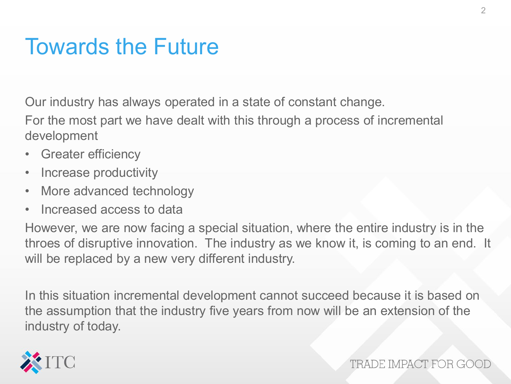#### Towards the Future

Our industry has always operated in a state of constant change.

For the most part we have dealt with this through a process of incremental development

- Greater efficiency
- Increase productivity
- More advanced technology
- Increased access to data

However, we are now facing a special situation, where the entire industry is in the throes of disruptive innovation. The industry as we know it, is coming to an end. It will be replaced by a new very different industry.

In this situation incremental development cannot succeed because it is based on the assumption that the industry five years from now will be an extension of the industry of today.

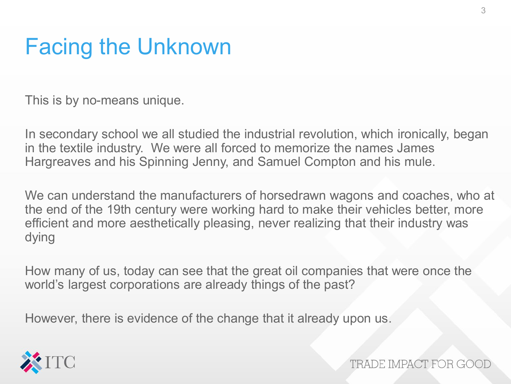# Facing the Unknown

This is by no-means unique.

In secondary school we all studied the industrial revolution, which ironically, began in the textile industry. We were all forced to memorize the names James Hargreaves and his Spinning Jenny, and Samuel Compton and his mule.

We can understand the manufacturers of horsedrawn wagons and coaches, who at the end of the 19th century were working hard to make their vehicles better, more efficient and more aesthetically pleasing, never realizing that their industry was dying

How many of us, today can see that the great oil companies that were once the world's largest corporations are already things of the past?

However, there is evidence of the change that it already upon us.

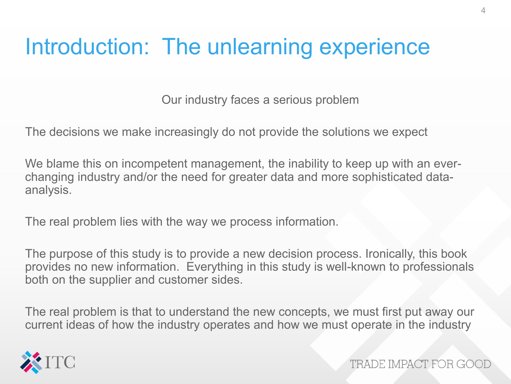#### Introduction: The unlearning experience

Our industry faces a serious problem

The decisions we make increasingly do not provide the solutions we expect

We blame this on incompetent management, the inability to keep up with an everchanging industry and/or the need for greater data and more sophisticated dataanalysis.

The real problem lies with the way we process information.

The purpose of this study is to provide a new decision process. Ironically, this book provides no new information. Everything in this study is well-known to professionals both on the supplier and customer sides.

The real problem is that to understand the new concepts, we must first put away our current ideas of how the industry operates and how we must operate in the industry

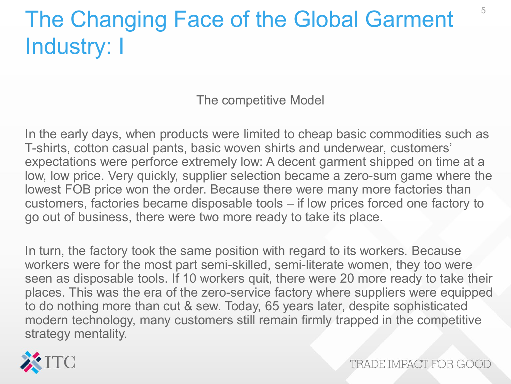# The Changing Face of the Global Garment Industry: I

The competitive Model

In the early days, when products were limited to cheap basic commodities such as T-shirts, cotton casual pants, basic woven shirts and underwear, customers' expectations were perforce extremely low: A decent garment shipped on time at a low, low price. Very quickly, supplier selection became a zero-sum game where the lowest FOB price won the order. Because there were many more factories than customers, factories became disposable tools – if low prices forced one factory to go out of business, there were two more ready to take its place.

In turn, the factory took the same position with regard to its workers. Because workers were for the most part semi-skilled, semi-literate women, they too were seen as disposable tools. If 10 workers quit, there were 20 more ready to take their places. This was the era of the zero-service factory where suppliers were equipped to do nothing more than cut & sew. Today, 65 years later, despite sophisticated modern technology, many customers still remain firmly trapped in the competitive strategy mentality.

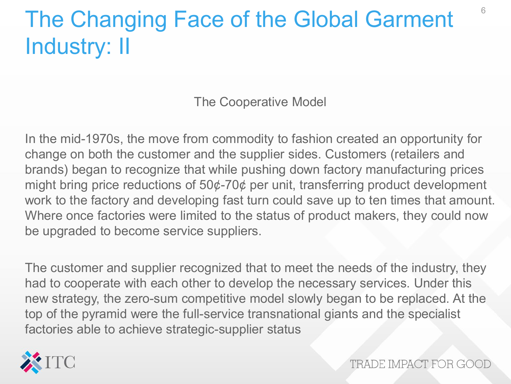# The Changing Face of the Global Garment Industry: II

The Cooperative Model

In the mid-1970s, the move from commodity to fashion created an opportunity for change on both the customer and the supplier sides. Customers (retailers and brands) began to recognize that while pushing down factory manufacturing prices might bring price reductions of 50¢-70¢ per unit, transferring product development work to the factory and developing fast turn could save up to ten times that amount. Where once factories were limited to the status of product makers, they could now be upgraded to become service suppliers.

The customer and supplier recognized that to meet the needs of the industry, they had to cooperate with each other to develop the necessary services. Under this new strategy, the zero-sum competitive model slowly began to be replaced. At the top of the pyramid were the full-service transnational giants and the specialist factories able to achieve strategic-supplier status

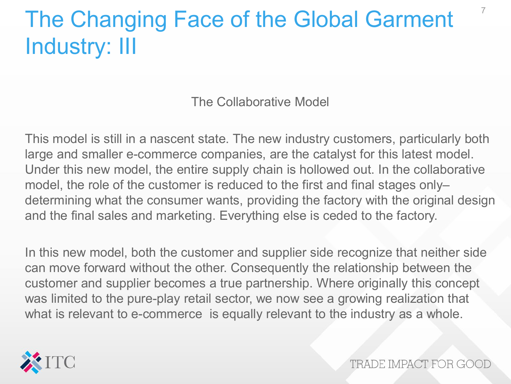# The Changing Face of the Global Garment Industry: III

The Collaborative Model

This model is still in a nascent state. The new industry customers, particularly both large and smaller e-commerce companies, are the catalyst for this latest model. Under this new model, the entire supply chain is hollowed out. In the collaborative model, the role of the customer is reduced to the first and final stages only– determining what the consumer wants, providing the factory with the original design and the final sales and marketing. Everything else is ceded to the factory.

In this new model, both the customer and supplier side recognize that neither side can move forward without the other. Consequently the relationship between the customer and supplier becomes a true partnership. Where originally this concept was limited to the pure-play retail sector, we now see a growing realization that what is relevant to e-commerce is equally relevant to the industry as a whole.



TRADE IMPACT FOR GO

7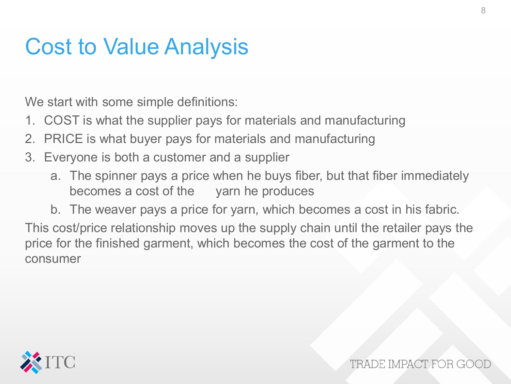#### Cost to Value Analysis

We start with some simple definitions:

- 1. COST is what the supplier pays for materials and manufacturing
- 2. PRICE is what buyer pays for materials and manufacturing
- 3. Everyone is both a customer and a supplier
	- a. The spinner pays a price when he buys fiber, but that fiber immediately becomes a cost of the yarn he produces
- b. The weaver pays a price for yarn, which becomes a cost in his fabric. This cost/price relationship moves up the supply chain until the retailer pays the price for the finished garment, which becomes the cost of the garment to the consumer

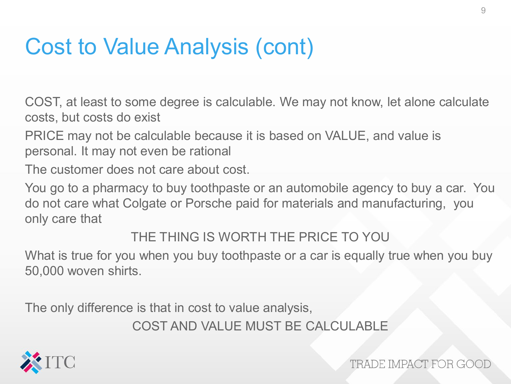### Cost to Value Analysis (cont)

COST, at least to some degree is calculable. We may not know, let alone calculate costs, but costs do exist

PRICE may not be calculable because it is based on VALUE, and value is personal. It may not even be rational

The customer does not care about cost.

You go to a pharmacy to buy toothpaste or an automobile agency to buy a car. You do not care what Colgate or Porsche paid for materials and manufacturing, you only care that

THE THING IS WORTH THE PRICE TO YOU

What is true for you when you buy toothpaste or a car is equally true when you buy 50,000 woven shirts.

The only difference is that in cost to value analysis,

COST AND VALUE MUST BE CALCULABLE

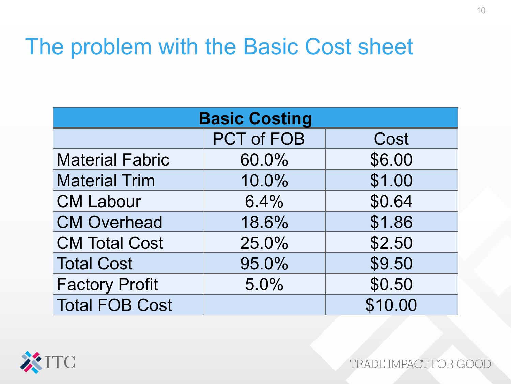#### The problem with the Basic Cost sheet

| <b>Basic Costing</b>   |                   |         |  |  |  |
|------------------------|-------------------|---------|--|--|--|
|                        | <b>PCT of FOB</b> | Cost    |  |  |  |
| <b>Material Fabric</b> | 60.0%             | \$6.00  |  |  |  |
| <b>Material Trim</b>   | 10.0%             | \$1.00  |  |  |  |
| <b>CM Labour</b>       | 6.4%              | \$0.64  |  |  |  |
| <b>CM Overhead</b>     | 18.6%             | \$1.86  |  |  |  |
| <b>CM Total Cost</b>   | 25.0%             | \$2.50  |  |  |  |
| <b>Total Cost</b>      | 95.0%             | \$9.50  |  |  |  |
| <b>Factory Profit</b>  | 5.0%              | \$0.50  |  |  |  |
| <b>Total FOB Cost</b>  |                   | \$10.00 |  |  |  |

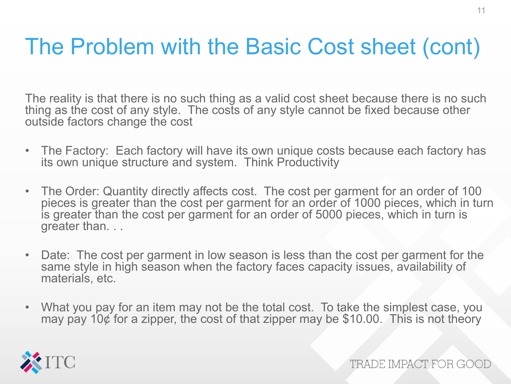# The Problem with the Basic Cost sheet (cont)

The reality is that there is no such thing as a valid cost sheet because there is no such thing as the cost of any style. The costs of any style cannot be fixed because other outside factors change the cost

- The Factory: Each factory will have its own unique costs because each factory has its own unique structure and system. Think Productivity
- The Order: Quantity directly affects cost. The cost per garment for an order of 100 pieces is greater than the cost per garment for an order of 1000 pieces, which in turn is greater than the cost per garment for an order of 5000 pieces, which in turn is greater than. . .
- Date: The cost per garment in low season is less than the cost per garment for the same style in high season when the factory faces capacity issues, availability of materials, etc.
- What you pay for an item may not be the total cost. To take the simplest case, you may pay 10 $\phi$  for a zipper, the cost of that zipper may be \$10.00. This is not theory

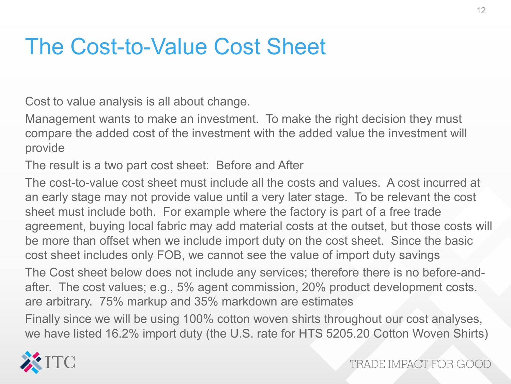#### The Cost-to-Value Cost Sheet

Cost to value analysis is all about change.

Management wants to make an investment. To make the right decision they must compare the added cost of the investment with the added value the investment will provide

The result is a two part cost sheet: Before and After

The cost-to-value cost sheet must include all the costs and values. A cost incurred at an early stage may not provide value until a very later stage. To be relevant the cost sheet must include both. For example where the factory is part of a free trade agreement, buying local fabric may add material costs at the outset, but those costs will be more than offset when we include import duty on the cost sheet. Since the basic cost sheet includes only FOB, we cannot see the value of import duty savings

The Cost sheet below does not include any services; therefore there is no before-andafter. The cost values; e.g., 5% agent commission, 20% product development costs. are arbitrary. 75% markup and 35% markdown are estimates

Finally since we will be using 100% cotton woven shirts throughout our cost analyses, we have listed 16.2% import duty (the U.S. rate for HTS 5205.20 Cotton Woven Shirts)

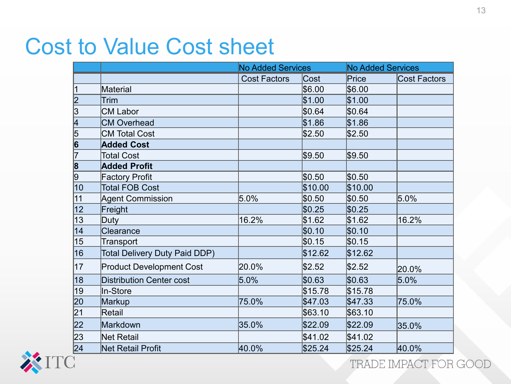#### Cost to Value Cost sheet

|                                                     |                                 | <b>No Added Services</b> |         | <b>No Added Services</b> |                     |
|-----------------------------------------------------|---------------------------------|--------------------------|---------|--------------------------|---------------------|
|                                                     |                                 | <b>Cost Factors</b>      | Cost    | Price                    | <b>Cost Factors</b> |
| $\vert$ 1                                           | Material                        |                          | \$6.00  | \$6.00                   |                     |
| $\overline{\mathsf{2}}$                             | <b>Trim</b>                     |                          | \$1.00  | \$1.00                   |                     |
| $\overline{\mathbb{3}}$                             | <b>CM Labor</b>                 |                          | \$0.64  | \$0.64                   |                     |
| 4                                                   | <b>CM Overhead</b>              |                          | \$1.86  | \$1.86                   |                     |
| $\overline{5}$                                      | <b>CM Total Cost</b>            |                          | \$2.50  | \$2.50                   |                     |
| $\begin{array}{c} \hline 6 \\ \hline 7 \end{array}$ | <b>Added Cost</b>               |                          |         |                          |                     |
|                                                     | <b>Total Cost</b>               |                          | \$9.50  | \$9.50                   |                     |
| $\overline{\mathbf{8}}$                             | <b>Added Profit</b>             |                          |         |                          |                     |
| $\overline{9}$                                      | <b>Factory Profit</b>           |                          | \$0.50  | \$0.50                   |                     |
| $\overline{10}$                                     | <b>Total FOB Cost</b>           |                          | \$10.00 | \$10.00                  |                     |
| 11                                                  | <b>Agent Commission</b>         | 5.0%                     | \$0.50  | \$0.50                   | 5.0%                |
| 12                                                  | Freight                         |                          | \$0.25  | \$0.25                   |                     |
| 13                                                  | Duty                            | 16.2%                    | \$1.62  | \$1.62                   | 16.2%               |
| 14                                                  | Clearance                       |                          | \$0.10  | \$0.10                   |                     |
| 15                                                  | Transport                       |                          | \$0.15  | \$0.15                   |                     |
| 16                                                  | Total Delivery Duty Paid DDP)   |                          | \$12.62 | \$12.62                  |                     |
| 17                                                  | <b>Product Development Cost</b> | 20.0%                    | \$2.52  | \$2.52                   | 20.0%               |
| 18                                                  | <b>Distribution Center cost</b> | 5.0%                     | \$0.63  | \$0.63                   | $5.0\%$             |
| $ 19\rangle$                                        | In-Store                        |                          | \$15.78 | \$15.78                  |                     |
| 20                                                  | Markup                          | 75.0%                    | \$47.03 | \$47.33                  | 75.0%               |
| 21                                                  | Retail                          |                          | \$63.10 | \$63.10                  |                     |
| 22                                                  | Markdown                        | 35.0%                    | \$22.09 | \$22.09                  | 35.0%               |
| 23                                                  | <b>Net Retail</b>               |                          | \$41.02 | \$41.02                  |                     |
| $\overline{24}$                                     | Net Retail Profit               | 40.0%                    | \$25.24 | \$25.24                  | 40.0%               |

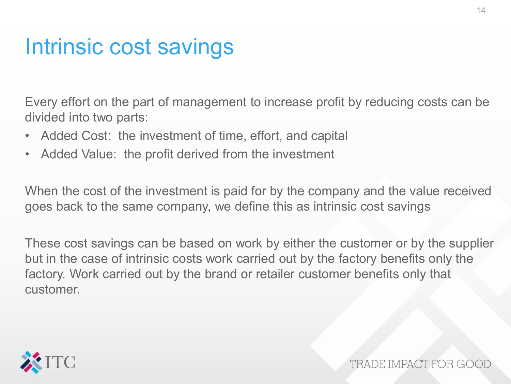#### Intrinsic cost savings

Every effort on the part of management to increase profit by reducing costs can be divided into two parts:

- Added Cost: the investment of time, effort, and capital
- Added Value: the profit derived from the investment

When the cost of the investment is paid for by the company and the value received goes back to the same company, we define this as intrinsic cost savings

These cost savings can be based on work by either the customer or by the supplier but in the case of intrinsic costs work carried out by the factory benefits only the factory. Work carried out by the brand or retailer customer benefits only that customer.

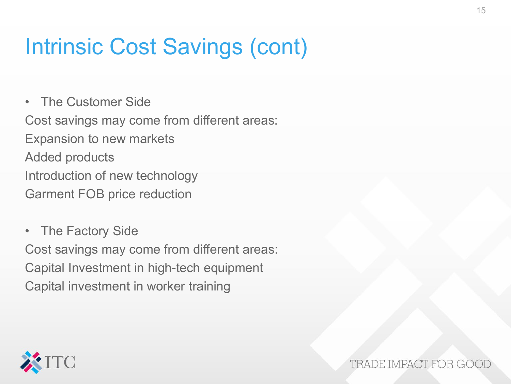# Intrinsic Cost Savings (cont)

• The Customer Side Cost savings may come from different areas: Expansion to new markets Added products Introduction of new technology Garment FOB price reduction

• The Factory Side Cost savings may come from different areas: Capital Investment in high-tech equipment Capital investment in worker training

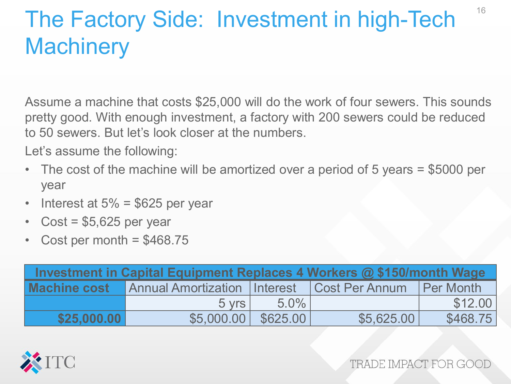# The Factory Side: Investment in high-Tech **Machinery**

Assume a machine that costs \$25,000 will do the work of four sewers. This sounds pretty good. With enough investment, a factory with 200 sewers could be reduced to 50 sewers. But let's look closer at the numbers.

Let's assume the following:

- The cost of the machine will be amortized over a period of 5 years = \$5000 per year
- Interest at  $5\%$  = \$625 per year
- Cost =  $$5,625$  per year
- Cost per month  $= $468.75$

| Investment in Capital Equipment Replaces 4 Workers @ \$150/month Wage |                                                 |         |                  |          |  |  |
|-----------------------------------------------------------------------|-------------------------------------------------|---------|------------------|----------|--|--|
| <b>Machine cost</b>                                                   | Annual Amortization   Interest   Cost Per Annum |         | <b>Per Month</b> |          |  |  |
|                                                                       | $5 \text{ vrs}$                                 | $5.0\%$ |                  | \$12.00  |  |  |
| \$25,000.00                                                           | $$5.000.00$ \$625.00                            |         | \$5,625,00       | \$468.75 |  |  |

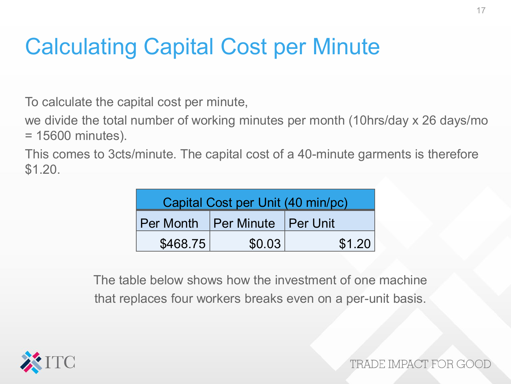# Calculating Capital Cost per Minute

To calculate the capital cost per minute,

we divide the total number of working minutes per month (10hrs/day x 26 days/mo = 15600 minutes).

This comes to 3cts/minute. The capital cost of a 40-minute garments is therefore \$1.20.

| Capital Cost per Unit (40 min/pc) |        |        |  |  |
|-----------------------------------|--------|--------|--|--|
| Per Month Per Minute Per Unit     |        |        |  |  |
| \$468.75                          | \$0.03 | \$1.20 |  |  |

The table below shows how the investment of one machine that replaces four workers breaks even on a per-unit basis.

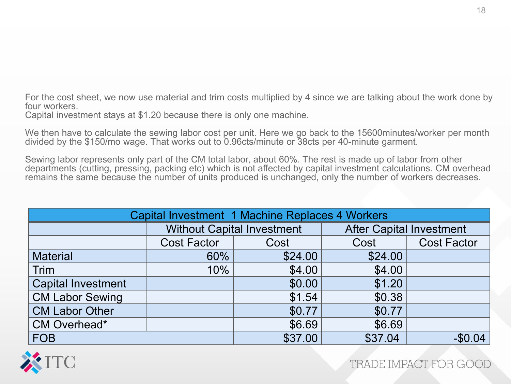For the cost sheet, we now use material and trim costs multiplied by 4 since we are talking about the work done by four workers.

Capital investment stays at \$1.20 because there is only one machine.

We then have to calculate the sewing labor cost per unit. Here we go back to the 15600minutes/worker per month divided by the \$150/mo wage. That works out to 0.96cts/minute or 38cts per 40-minute garment.

Sewing labor represents only part of the CM total labor, about 60%. The rest is made up of labor from other departments (cutting, pressing, packing etc) which is not affected by capital investment calculations. CM overhead remains the same because the number of units produced is unchanged, only the number of workers decreases.

| Capital Investment 1 Machine Replaces 4 Workers |                    |                                   |                                 |                    |  |  |
|-------------------------------------------------|--------------------|-----------------------------------|---------------------------------|--------------------|--|--|
|                                                 |                    | <b>Without Capital Investment</b> | <b>After Capital Investment</b> |                    |  |  |
|                                                 | <b>Cost Factor</b> | Cost                              | Cost                            | <b>Cost Factor</b> |  |  |
| <b>Material</b>                                 | 60%                | \$24.00                           | \$24.00                         |                    |  |  |
| <b>Trim</b>                                     | 10%                | \$4.00                            | \$4.00                          |                    |  |  |
| <b>Capital Investment</b>                       |                    | \$0.00                            | \$1.20                          |                    |  |  |
| <b>CM Labor Sewing</b>                          |                    | \$1.54                            | \$0.38                          |                    |  |  |
| <b>CM Labor Other</b>                           |                    | \$0.77                            | \$0.77                          |                    |  |  |
| <b>CM Overhead*</b>                             |                    | \$6.69                            | \$6.69                          |                    |  |  |
| <b>FOB</b>                                      |                    | \$37.00                           | \$37.04                         | $-$0.04$           |  |  |

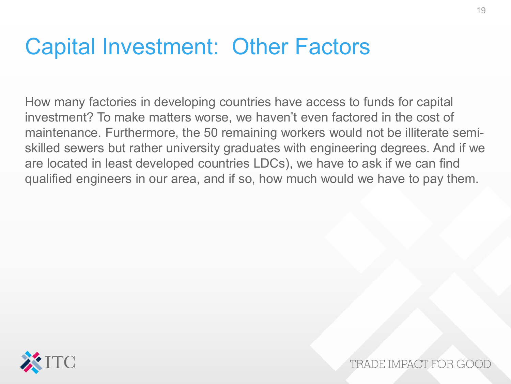#### Capital Investment: Other Factors

How many factories in developing countries have access to funds for capital investment? To make matters worse, we haven't even factored in the cost of maintenance. Furthermore, the 50 remaining workers would not be illiterate semiskilled sewers but rather university graduates with engineering degrees. And if we are located in least developed countries LDCs), we have to ask if we can find qualified engineers in our area, and if so, how much would we have to pay them.

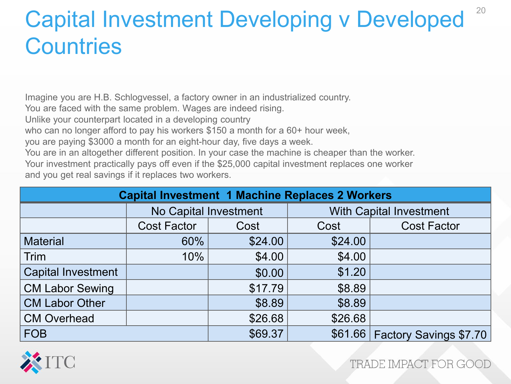# Capital Investment Developing v Developed **Countries**

Imagine you are H.B. Schlogvessel, a factory owner in an industrialized country.

You are faced with the same problem. Wages are indeed rising.

Unlike your counterpart located in a developing country

who can no longer afford to pay his workers \$150 a month for a 60+ hour week,

you are paying \$3000 a month for an eight-hour day, five days a week.

You are in an altogether different position. In your case the machine is cheaper than the worker. Your investment practically pays off even if the \$25,000 capital investment replaces one worker and you get real savings if it replaces two workers.

| <b>Capital Investment 1 Machine Replaces 2 Workers</b> |                              |         |                                |                        |  |  |
|--------------------------------------------------------|------------------------------|---------|--------------------------------|------------------------|--|--|
|                                                        | <b>No Capital Investment</b> |         | <b>With Capital Investment</b> |                        |  |  |
|                                                        | <b>Cost Factor</b>           | Cost    | Cost                           | <b>Cost Factor</b>     |  |  |
| <b>Material</b>                                        | 60%                          | \$24.00 | \$24.00                        |                        |  |  |
| Trim                                                   | 10%                          | \$4.00  | \$4.00                         |                        |  |  |
| <b>Capital Investment</b>                              |                              | \$0.00  | \$1.20                         |                        |  |  |
| <b>CM Labor Sewing</b>                                 |                              | \$17.79 | \$8.89                         |                        |  |  |
| <b>CM Labor Other</b>                                  |                              | \$8.89  | \$8.89                         |                        |  |  |
| <b>CM Overhead</b>                                     |                              | \$26.68 | \$26.68                        |                        |  |  |
| <b>FOB</b>                                             |                              | \$69.37 | \$61.66                        | Factory Savings \$7.70 |  |  |



TRADE IMPACT FOR GOO

20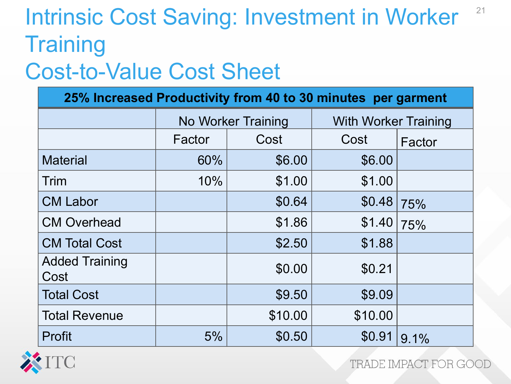#### Intrinsic Cost Saving: Investment in Worker **Training** 21

#### Cost-to-Value Cost Sheet

| 25% Increased Productivity from 40 to 30 minutes per garment |        |                           |                             |        |  |
|--------------------------------------------------------------|--------|---------------------------|-----------------------------|--------|--|
|                                                              |        | <b>No Worker Training</b> | <b>With Worker Training</b> |        |  |
|                                                              | Factor | Cost                      | Cost                        | Factor |  |
| <b>Material</b>                                              | 60%    | \$6.00                    | \$6.00                      |        |  |
| Trim                                                         | 10%    | \$1.00                    | \$1.00                      |        |  |
| <b>CM Labor</b>                                              |        | \$0.64                    | \$0.48                      | 75%    |  |
| <b>CM Overhead</b>                                           |        | \$1.86                    |                             | 75%    |  |
| <b>CM Total Cost</b>                                         |        | \$2.50                    | \$1.88                      |        |  |
| <b>Added Training</b><br>Cost                                |        | \$0.00                    | \$0.21                      |        |  |
| <b>Total Cost</b>                                            |        | \$9.50                    | \$9.09                      |        |  |
| <b>Total Revenue</b>                                         |        | \$10.00                   | \$10.00                     |        |  |
| Profit                                                       | 5%     | \$0.50                    | \$0.91                      | 9.1%   |  |

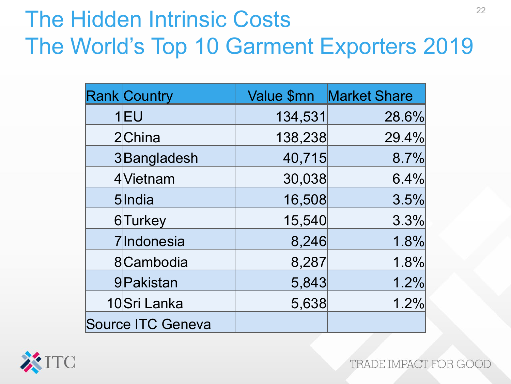# The Hidden Intrinsic Costs The World's Top 10 Garment Exporters 2019

| <b>Rank Country</b> |         | Value \$mn   Market Share |
|---------------------|---------|---------------------------|
| $1$ $E$ U           | 134,531 | 28.6%                     |
| 2China              | 138,238 | 29.4%                     |
| 3Bangladesh         | 40,715  | 8.7%                      |
| 4Vietnam            | 30,038  | 6.4%                      |
| 5India              | 16,508  | 3.5%                      |
| 6Turkey             | 15,540  | 3.3%                      |
| 7 Indonesia         | 8,246   | 1.8%                      |
| 8Cambodia           | 8,287   | 1.8%                      |
| 9Pakistan           | 5,843   | 1.2%                      |
| 10Sri Lanka         | 5,638   | 1.2%                      |
| Source ITC Geneva   |         |                           |

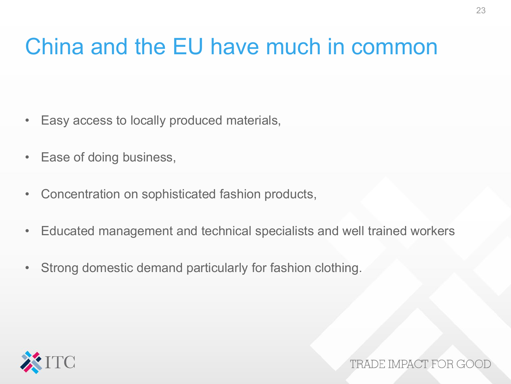# China and the EU have much in common

- Easy access to locally produced materials,
- Ease of doing business,
- Concentration on sophisticated fashion products,
- Educated management and technical specialists and well trained workers
- Strong domestic demand particularly for fashion clothing.

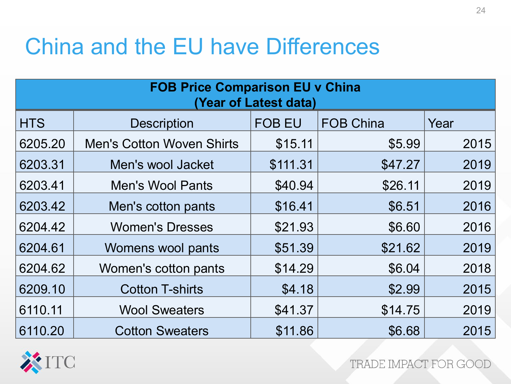# China and the EU have Differences

| <b>FOB Price Comparison EU v China</b><br>(Year of Latest data) |                                  |               |                  |      |  |  |  |
|-----------------------------------------------------------------|----------------------------------|---------------|------------------|------|--|--|--|
| <b>HTS</b>                                                      | <b>Description</b>               | <b>FOB EU</b> | <b>FOB China</b> | Year |  |  |  |
| 6205.20                                                         | <b>Men's Cotton Woven Shirts</b> | \$15.11       | \$5.99           | 2015 |  |  |  |
| 6203.31                                                         | Men's wool Jacket                | \$111.31      | \$47.27          | 2019 |  |  |  |
| 6203.41                                                         | <b>Men's Wool Pants</b>          | \$40.94       | \$26.11          | 2019 |  |  |  |
| 6203.42                                                         | Men's cotton pants               | \$16.41       | \$6.51           | 2016 |  |  |  |
| 6204.42                                                         | <b>Women's Dresses</b>           | \$21.93       | \$6.60           | 2016 |  |  |  |
| 6204.61                                                         | Womens wool pants                | \$51.39       | \$21.62          | 2019 |  |  |  |
| 6204.62                                                         | Women's cotton pants             | \$14.29       | \$6.04           | 2018 |  |  |  |
| 6209.10                                                         | <b>Cotton T-shirts</b>           | \$4.18        | \$2.99           | 2015 |  |  |  |
| 6110.11                                                         | <b>Wool Sweaters</b>             | \$41.37       | \$14.75          | 2019 |  |  |  |
| 6110.20                                                         | <b>Cotton Sweaters</b>           | \$11.86       | \$6.68           | 2015 |  |  |  |

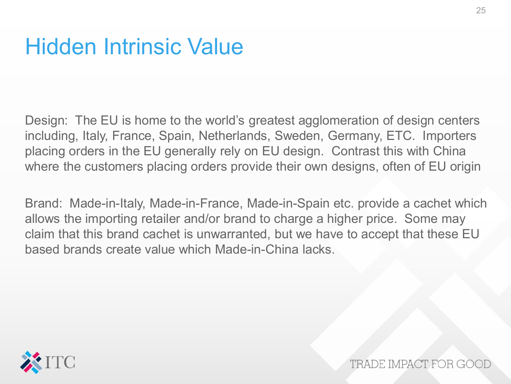#### Hidden Intrinsic Value

Design: The EU is home to the world's greatest agglomeration of design centers including, Italy, France, Spain, Netherlands, Sweden, Germany, ETC. Importers placing orders in the EU generally rely on EU design. Contrast this with China where the customers placing orders provide their own designs, often of EU origin

Brand: Made-in-Italy, Made-in-France, Made-in-Spain etc. provide a cachet which allows the importing retailer and/or brand to charge a higher price. Some may claim that this brand cachet is unwarranted, but we have to accept that these EU based brands create value which Made-in-China lacks.

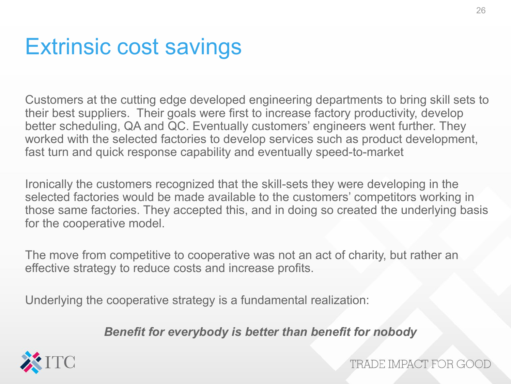#### Extrinsic cost savings

Customers at the cutting edge developed engineering departments to bring skill sets to their best suppliers. Their goals were first to increase factory productivity, develop better scheduling, QA and QC. Eventually customers' engineers went further. They worked with the selected factories to develop services such as product development, fast turn and quick response capability and eventually speed-to-market

Ironically the customers recognized that the skill-sets they were developing in the selected factories would be made available to the customers' competitors working in those same factories. They accepted this, and in doing so created the underlying basis for the cooperative model.

The move from competitive to cooperative was not an act of charity, but rather an effective strategy to reduce costs and increase profits.

Underlying the cooperative strategy is a fundamental realization:

*Benefit for everybody is better than benefit for nobody*

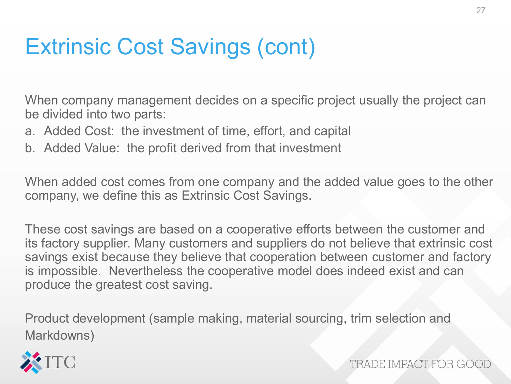# Extrinsic Cost Savings (cont)

When company management decides on a specific project usually the project can be divided into two parts:

- a. Added Cost: the investment of time, effort, and capital
- b. Added Value: the profit derived from that investment

When added cost comes from one company and the added value goes to the other company, we define this as Extrinsic Cost Savings.

These cost savings are based on a cooperative efforts between the customer and its factory supplier. Many customers and suppliers do not believe that extrinsic cost savings exist because they believe that cooperation between customer and factory is impossible. Nevertheless the cooperative model does indeed exist and can produce the greatest cost saving.

Product development (sample making, material sourcing, trim selection and Markdowns)

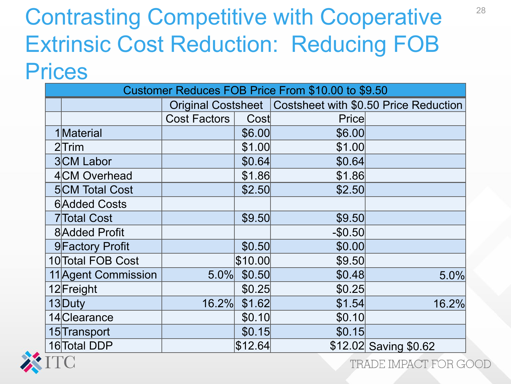## Contrasting Competitive with Cooperative Extrinsic Cost Reduction: Reducing FOB **Prices**

| Customer Reduces FOB Price From \$10.00 to \$9.50 |              |         |          |                                                            |  |  |
|---------------------------------------------------|--------------|---------|----------|------------------------------------------------------------|--|--|
|                                                   |              |         |          | Original Costsheet   Costsheet with \$0.50 Price Reduction |  |  |
|                                                   | Cost Factors | Cost    | Price    |                                                            |  |  |
| 1Material                                         |              | \$6.00  | \$6.00   |                                                            |  |  |
| $2$ Trim                                          |              | \$1.00  | \$1.00   |                                                            |  |  |
| 3CM Labor                                         |              | \$0.64  | \$0.64   |                                                            |  |  |
| 4CM Overhead                                      |              | \$1.86  | \$1.86   |                                                            |  |  |
| <b>5</b> CM Total Cost                            |              | \$2.50  | \$2.50   |                                                            |  |  |
| <b>6</b> Added Costs                              |              |         |          |                                                            |  |  |
| <b>7</b> Total Cost                               |              | \$9.50  | \$9.50   |                                                            |  |  |
| 8 Added Profit                                    |              |         | $-$0.50$ |                                                            |  |  |
| 9 Factory Profit                                  |              | \$0.50  | \$0.00   |                                                            |  |  |
| 10 Total FOB Cost                                 |              | \$10.00 | \$9.50   |                                                            |  |  |
| 11 Agent Commission                               | 5.0%         | \$0.50  | \$0.48   | 5.0%                                                       |  |  |
| 12 Freight                                        |              | \$0.25  | \$0.25   |                                                            |  |  |
| 13Duty                                            | 16.2%        | \$1.62  | \$1.54   | 16.2%                                                      |  |  |
| 14 Clearance                                      |              | \$0.10  | \$0.10   |                                                            |  |  |
| 15 Transport                                      |              | \$0.15  | \$0.15   |                                                            |  |  |
| 16 Total DDP                                      |              | \$12.64 |          | \$12.02 Saving \$0.62                                      |  |  |

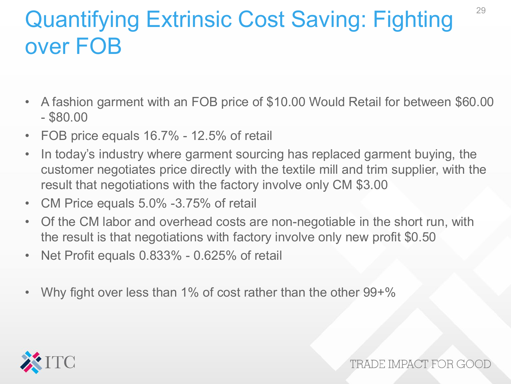# Quantifying Extrinsic Cost Saving: Fighting over FOB

- A fashion garment with an FOB price of \$10.00 Would Retail for between \$60.00 - \$80.00
- FOB price equals 16.7% 12.5% of retail
- In today's industry where garment sourcing has replaced garment buying, the customer negotiates price directly with the textile mill and trim supplier, with the result that negotiations with the factory involve only CM \$3.00
- CM Price equals 5.0% -3.75% of retail
- Of the CM labor and overhead costs are non-negotiable in the short run, with the result is that negotiations with factory involve only new profit \$0.50
- Net Profit equals 0.833% 0.625% of retail
- Why fight over less than 1% of cost rather than the other 99+%

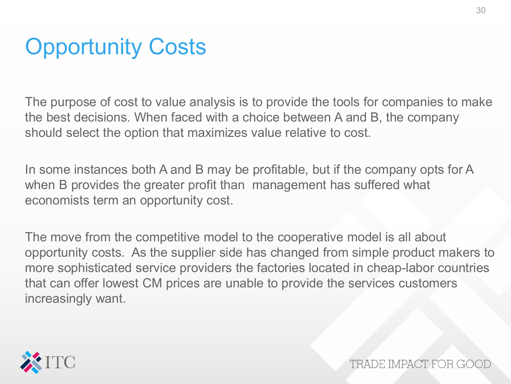# **Opportunity Costs**

The purpose of cost to value analysis is to provide the tools for companies to make the best decisions. When faced with a choice between A and B, the company should select the option that maximizes value relative to cost.

In some instances both A and B may be profitable, but if the company opts for A when B provides the greater profit than management has suffered what economists term an opportunity cost.

The move from the competitive model to the cooperative model is all about opportunity costs. As the supplier side has changed from simple product makers to more sophisticated service providers the factories located in cheap-labor countries that can offer lowest CM prices are unable to provide the services customers increasingly want.

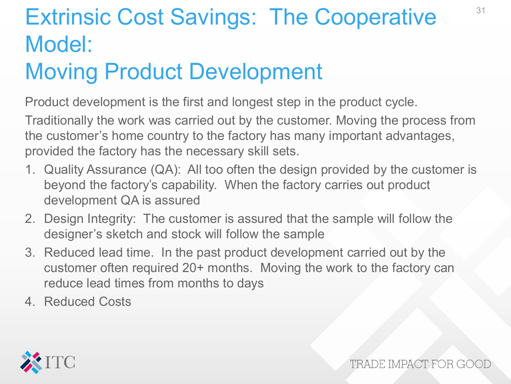# Extrinsic Cost Savings: The Cooperative Model:

## Moving Product Development

Product development is the first and longest step in the product cycle.

Traditionally the work was carried out by the customer. Moving the process from the customer's home country to the factory has many important advantages, provided the factory has the necessary skill sets.

- 1. Quality Assurance (QA): All too often the design provided by the customer is beyond the factory's capability. When the factory carries out product development QA is assured
- 2. Design Integrity: The customer is assured that the sample will follow the designer's sketch and stock will follow the sample
- 3. Reduced lead time. In the past product development carried out by the customer often required 20+ months. Moving the work to the factory can reduce lead times from months to days
- 4. Reduced Costs



TRADE IMPACT FOR GOO

31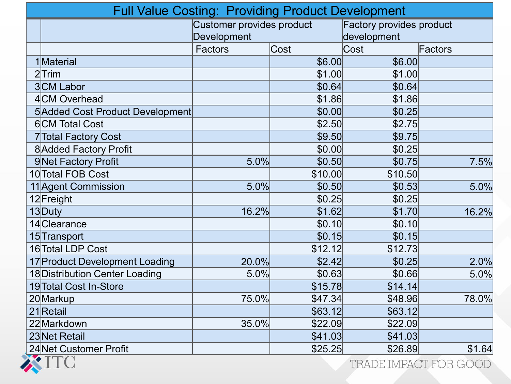| <b>Full Value Costing: Providing Product Development</b> |                                  |         |                                 |         |  |  |
|----------------------------------------------------------|----------------------------------|---------|---------------------------------|---------|--|--|
|                                                          | <b>Customer provides product</b> |         | <b>Factory provides product</b> |         |  |  |
|                                                          | Development                      |         | development                     |         |  |  |
|                                                          | Factors                          | Cost    | Cost                            | Factors |  |  |
| 1Material                                                |                                  | \$6.00  | \$6.00                          |         |  |  |
| $2$ Trim                                                 |                                  | \$1.00  | \$1.00                          |         |  |  |
| 3CM Labor                                                |                                  | \$0.64  | \$0.64                          |         |  |  |
| 4CM Overhead                                             |                                  | \$1.86  | \$1.86                          |         |  |  |
| 5 Added Cost Product Development                         |                                  | \$0.00  | \$0.25                          |         |  |  |
| <b>6</b> CM Total Cost                                   |                                  | \$2.50  | \$2.75                          |         |  |  |
| 7 Total Factory Cost                                     |                                  | \$9.50  | \$9.75                          |         |  |  |
| 8 Added Factory Profit                                   |                                  | \$0.00  | \$0.25                          |         |  |  |
| 9Net Factory Profit                                      | 5.0%                             | \$0.50  | \$0.75                          | 7.5%    |  |  |
| 10 Total FOB Cost                                        |                                  | \$10.00 | \$10.50                         |         |  |  |
| 11 Agent Commission                                      | 5.0%                             | \$0.50  | \$0.53                          | 5.0%    |  |  |
| 12 Freight                                               |                                  | \$0.25  | \$0.25                          |         |  |  |
| 13Duty                                                   | 16.2%                            | \$1.62  | \$1.70                          | 16.2%   |  |  |
| 14 Clearance                                             |                                  | \$0.10  | \$0.10                          |         |  |  |
| 15 Transport                                             |                                  | \$0.15  | \$0.15                          |         |  |  |
| 16 Total LDP Cost                                        |                                  | \$12.12 | \$12.73                         |         |  |  |
| 17 Product Development Loading                           | 20.0%                            | \$2.42  | \$0.25                          | 2.0%    |  |  |
| 18 Distribution Center Loading                           | 5.0%                             | \$0.63  | \$0.66                          | 5.0%    |  |  |
| 19 Total Cost In-Store                                   |                                  | \$15.78 | \$14.14                         |         |  |  |
| 20Markup                                                 | 75.0%                            | \$47.34 | \$48.96                         | 78.0%   |  |  |
| 21 Retail                                                |                                  | \$63.12 | \$63.12                         |         |  |  |
| 22Markdown                                               | 35.0%                            | \$22.09 | \$22.09                         |         |  |  |
| 23 Net Retail                                            |                                  | \$41.03 | \$41.03                         |         |  |  |
| 24 Net Customer Profit<br><b>XTIMA</b>                   |                                  | \$25.25 | \$26.89                         | \$1.64  |  |  |

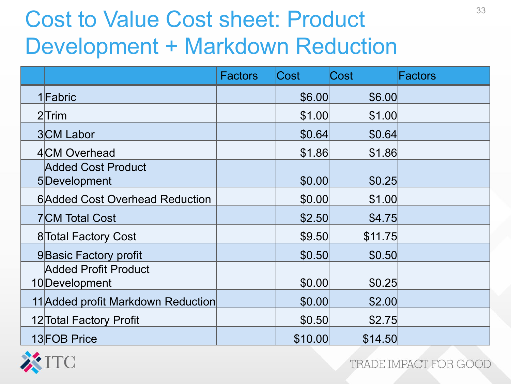# Cost to Value Cost sheet: Product Development + Markdown Reduction

|                                           | <b>Factors</b> | Cost    | Cost    | Factors |
|-------------------------------------------|----------------|---------|---------|---------|
| 1 Fabric                                  |                | \$6.00  | \$6.00  |         |
| $2$ Trim                                  |                | \$1.00  | \$1.00  |         |
| 3CM Labor                                 |                | \$0.64  | \$0.64  |         |
| 4 CM Overhead                             |                | \$1.86  | \$1.86  |         |
| <b>Added Cost Product</b><br>5Development |                | \$0.00  | \$0.25  |         |
| <b>6</b> Added Cost Overhead Reduction    |                | \$0.00  | \$1.00  |         |
| <b>7</b> CM Total Cost                    |                | \$2.50  | \$4.75  |         |
| 8 Total Factory Cost                      |                | \$9.50  | \$11.75 |         |
| 9Basic Factory profit                     |                | \$0.50  | \$0.50  |         |
| Added Profit Product<br>10 Development    |                | \$0.00  | \$0.25  |         |
| 11 Added profit Markdown Reduction        |                | \$0.00  | \$2.00  |         |
| 12 Total Factory Profit                   |                | \$0.50  | \$2.75  |         |
| 13 FOB Price                              |                | \$10.00 | \$14.50 |         |

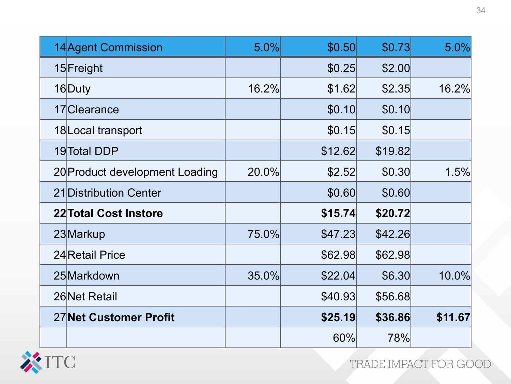| 14 Agent Commission            | 5.0%  | \$0.50  | \$0.73  | 5.0%    |
|--------------------------------|-------|---------|---------|---------|
| 15 Freight                     |       | \$0.25  | \$2.00  |         |
| 16Duty                         | 16.2% | \$1.62  | \$2.35  | 16.2%   |
| 17 Clearance                   |       | \$0.10  | \$0.10  |         |
| 18 Local transport             |       | \$0.15  | \$0.15  |         |
| 19 Total DDP                   |       | \$12.62 | \$19.82 |         |
| 20 Product development Loading | 20.0% | \$2.52  | \$0.30  | 1.5%    |
| 21 Distribution Center         |       | \$0.60  | \$0.60  |         |
| 22 Total Cost Instore          |       | \$15.74 | \$20.72 |         |
| 23 Markup                      | 75.0% | \$47.23 | \$42.26 |         |
| 24 Retail Price                |       | \$62.98 | \$62.98 |         |
| 25 Markdown                    | 35.0% | \$22.04 | \$6.30  | 10.0%   |
| 26 Net Retail                  |       | \$40.93 | \$56.68 |         |
| 27 Net Customer Profit         |       | \$25.19 | \$36.86 | \$11.67 |
|                                |       | 60%     | 78%     |         |

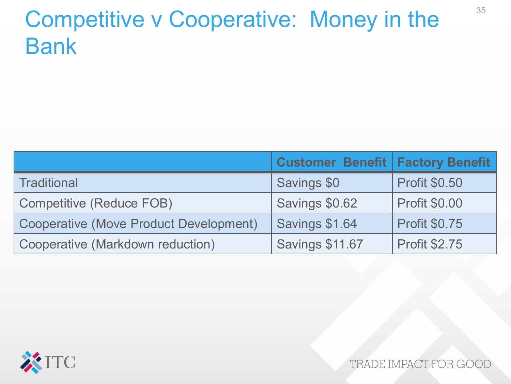# Competitive v Cooperative: Money in the Bank

|                                        | <b>Customer Benefit   Factory Benefit</b> |                      |
|----------------------------------------|-------------------------------------------|----------------------|
| Traditional                            | Savings \$0                               | <b>Profit \$0.50</b> |
| Competitive (Reduce FOB)               | Savings \$0.62                            | <b>Profit \$0.00</b> |
| Cooperative (Move Product Development) | Savings \$1.64                            | <b>Profit \$0.75</b> |
| Cooperative (Markdown reduction)       | <b>Savings \$11.67</b>                    | <b>Profit \$2.75</b> |

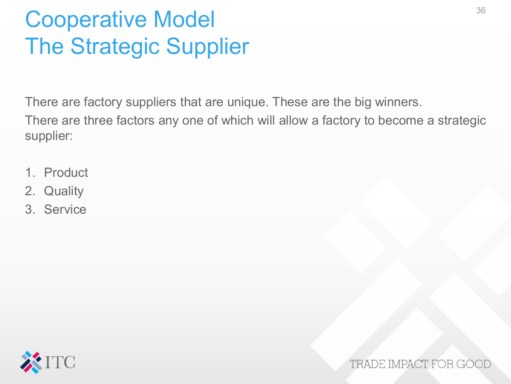# Cooperative Model The Strategic Supplier

There are factory suppliers that are unique. These are the big winners.

There are three factors any one of which will allow a factory to become a strategic supplier:

- 1. Product
- 2. Quality
- 3. Service

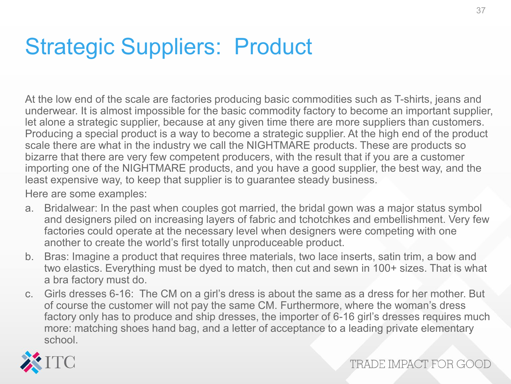# Strategic Suppliers: Product

At the low end of the scale are factories producing basic commodities such as T-shirts, jeans and underwear. It is almost impossible for the basic commodity factory to become an important supplier, let alone a strategic supplier, because at any given time there are more suppliers than customers. Producing a special product is a way to become a strategic supplier. At the high end of the product scale there are what in the industry we call the NIGHTMARE products. These are products so bizarre that there are very few competent producers, with the result that if you are a customer importing one of the NIGHTMARE products, and you have a good supplier, the best way, and the least expensive way, to keep that supplier is to guarantee steady business.

Here are some examples:

- a. Bridalwear: In the past when couples got married, the bridal gown was a major status symbol and designers piled on increasing layers of fabric and tchotchkes and embellishment. Very few factories could operate at the necessary level when designers were competing with one another to create the world's first totally unproduceable product.
- b. Bras: Imagine a product that requires three materials, two lace inserts, satin trim, a bow and two elastics. Everything must be dyed to match, then cut and sewn in 100+ sizes. That is what a bra factory must do.
- c. Girls dresses 6-16: The CM on a girl's dress is about the same as a dress for her mother. But of course the customer will not pay the same CM. Furthermore, where the woman's dress factory only has to produce and ship dresses, the importer of 6-16 girl's dresses requires much more: matching shoes hand bag, and a letter of acceptance to a leading private elementary school.

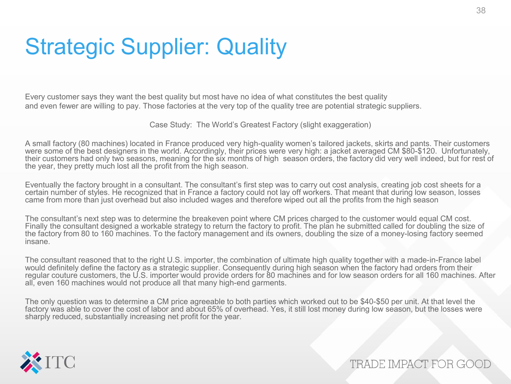## Strategic Supplier: Quality

Every customer says they want the best quality but most have no idea of what constitutes the best quality and even fewer are willing to pay. Those factories at the very top of the quality tree are potential strategic suppliers.

Case Study: The World's Greatest Factory (slight exaggeration)

A small factory (80 machines) located in France produced very high-quality women's tailored jackets, skirts and pants. Their customers were some of the best designers in the world. Accordingly, their prices were very high: a jacket averaged CM \$80-\$120. Unfortunately, their customers had only two seasons, meaning for the six months of high season orders, the factory did very well indeed, but for rest of the year, they pretty much lost all the profit from the high season.

Eventually the factory brought in a consultant. The consultant's first step was to carry out cost analysis, creating job cost sheets for a certain number of styles. He recognized that in France a factory could not lay off workers. That meant that during low season, losses came from more than just overhead but also included wages and therefore wiped out all the profits from the high season

The consultant's next step was to determine the breakeven point where CM prices charged to the customer would equal CM cost. Finally the consultant designed a workable strategy to return the factory to profit. The plan he submitted called for doubling the size of the factory from 80 to 160 machines. To the factory management and its owners, doubling the size of a money-losing factory seemed insane.

The consultant reasoned that to the right U.S. importer, the combination of ultimate high quality together with a made-in-France label would definitely define the factory as a strategic supplier. Consequently during high season when the factory had orders from their regular couture customers, the U.S. importer would provide orders for 80 machines and for low season orders for all 160 machines. After all, even 160 machines would not produce all that many high-end garments.

The only question was to determine a CM price agreeable to both parties which worked out to be \$40-\$50 per unit. At that level the factory was able to cover the cost of labor and about 65% of overhead. Yes, it still lost money during low season, but the losses were sharply reduced, substantially increasing net profit for the year.

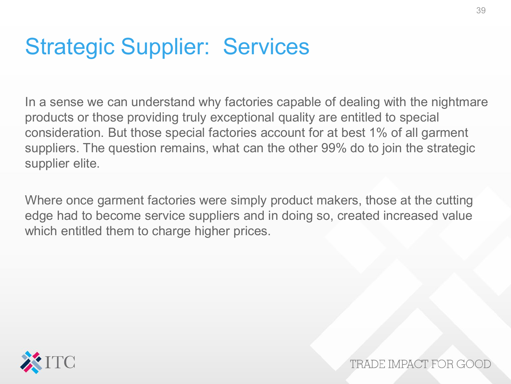#### Strategic Supplier: Services

In a sense we can understand why factories capable of dealing with the nightmare products or those providing truly exceptional quality are entitled to special consideration. But those special factories account for at best 1% of all garment suppliers. The question remains, what can the other 99% do to join the strategic supplier elite.

Where once garment factories were simply product makers, those at the cutting edge had to become service suppliers and in doing so, created increased value which entitled them to charge higher prices.

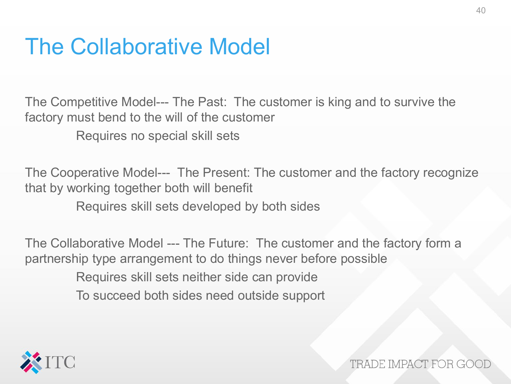#### The Collaborative Model

The Competitive Model--- The Past: The customer is king and to survive the factory must bend to the will of the customer

Requires no special skill sets

The Cooperative Model--- The Present: The customer and the factory recognize that by working together both will benefit

Requires skill sets developed by both sides

The Collaborative Model --- The Future: The customer and the factory form a partnership type arrangement to do things never before possible Requires skill sets neither side can provide To succeed both sides need outside support

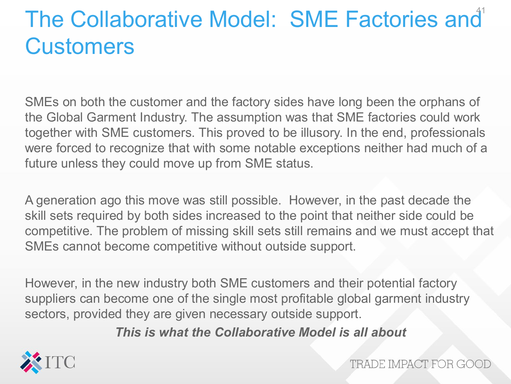# The Collaborative Model: SME Factories and **Customers**

SMEs on both the customer and the factory sides have long been the orphans of the Global Garment Industry. The assumption was that SME factories could work together with SME customers. This proved to be illusory. In the end, professionals were forced to recognize that with some notable exceptions neither had much of a future unless they could move up from SME status.

A generation ago this move was still possible. However, in the past decade the skill sets required by both sides increased to the point that neither side could be competitive. The problem of missing skill sets still remains and we must accept that SMEs cannot become competitive without outside support.

However, in the new industry both SME customers and their potential factory suppliers can become one of the single most profitable global garment industry sectors, provided they are given necessary outside support.

*This is what the Collaborative Model is all about*

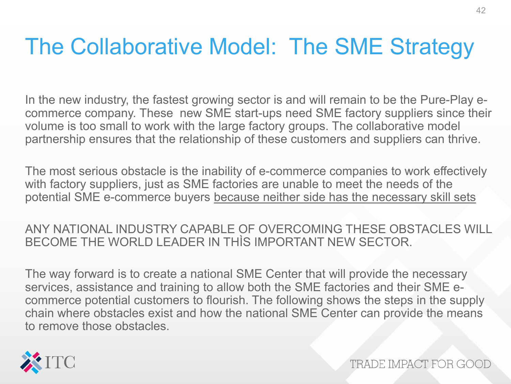#### The Collaborative Model: The SME Strategy

In the new industry, the fastest growing sector is and will remain to be the Pure-Play ecommerce company. These new SME start-ups need SME factory suppliers since their volume is too small to work with the large factory groups. The collaborative model partnership ensures that the relationship of these customers and suppliers can thrive.

The most serious obstacle is the inability of e-commerce companies to work effectively with factory suppliers, just as SME factories are unable to meet the needs of the potential SME e-commerce buyers because neither side has the necessary skill sets

ANY NATIONAL INDUSTRY CAPABLE OF OVERCOMING THESE OBSTACLES WILL BECOME THE WORLD LEADER IN THÌS IMPORTANT NEW SECTOR.

The way forward is to create a national SME Center that will provide the necessary services, assistance and training to allow both the SME factories and their SME ecommerce potential customers to flourish. The following shows the steps in the supply chain where obstacles exist and how the national SME Center can provide the means to remove those obstacles.

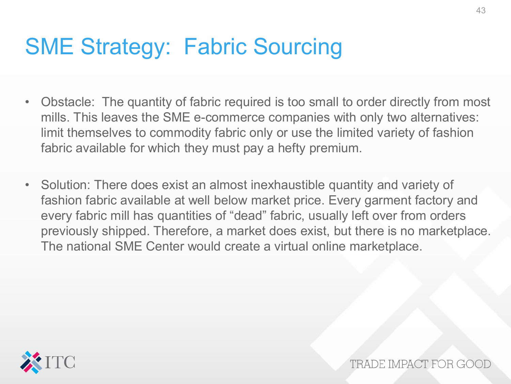# SME Strategy: Fabric Sourcing

- Obstacle: The quantity of fabric required is too small to order directly from most mills. This leaves the SME e-commerce companies with only two alternatives: limit themselves to commodity fabric only or use the limited variety of fashion fabric available for which they must pay a hefty premium.
- Solution: There does exist an almost inexhaustible quantity and variety of fashion fabric available at well below market price. Every garment factory and every fabric mill has quantities of "dead" fabric, usually left over from orders previously shipped. Therefore, a market does exist, but there is no marketplace. The national SME Center would create a virtual online marketplace.

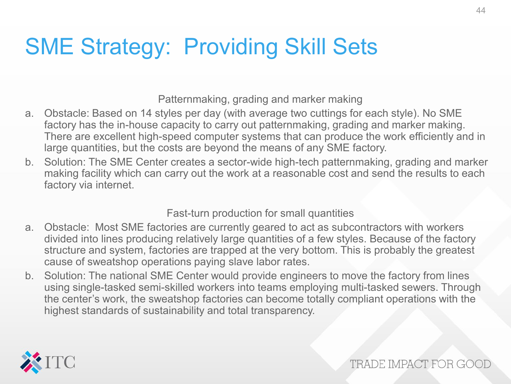# SME Strategy: Providing Skill Sets

Patternmaking, grading and marker making

- a. Obstacle: Based on 14 styles per day (with average two cuttings for each style). No SME factory has the in-house capacity to carry out patternmaking, grading and marker making. There are excellent high-speed computer systems that can produce the work efficiently and in large quantities, but the costs are beyond the means of any SME factory.
- b. Solution: The SME Center creates a sector-wide high-tech patternmaking, grading and marker making facility which can carry out the work at a reasonable cost and send the results to each factory via internet.

Fast-turn production for small quantities

- a. Obstacle: Most SME factories are currently geared to act as subcontractors with workers divided into lines producing relatively large quantities of a few styles. Because of the factory structure and system, factories are trapped at the very bottom. This is probably the greatest cause of sweatshop operations paying slave labor rates.
- b. Solution: The national SME Center would provide engineers to move the factory from lines using single-tasked semi-skilled workers into teams employing multi-tasked sewers. Through the center's work, the sweatshop factories can become totally compliant operations with the highest standards of sustainability and total transparency.

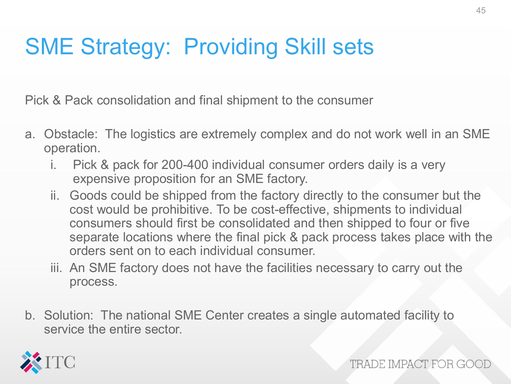# SME Strategy: Providing Skill sets

Pick & Pack consolidation and final shipment to the consumer

- a. Obstacle: The logistics are extremely complex and do not work well in an SME operation.
	- i. Pick & pack for 200-400 individual consumer orders daily is a very expensive proposition for an SME factory.
	- ii. Goods could be shipped from the factory directly to the consumer but the cost would be prohibitive. To be cost-effective, shipments to individual consumers should first be consolidated and then shipped to four or five separate locations where the final pick & pack process takes place with the orders sent on to each individual consumer.
	- iii. An SME factory does not have the facilities necessary to carry out the process.
- b. Solution: The national SME Center creates a single automated facility to service the entire sector.

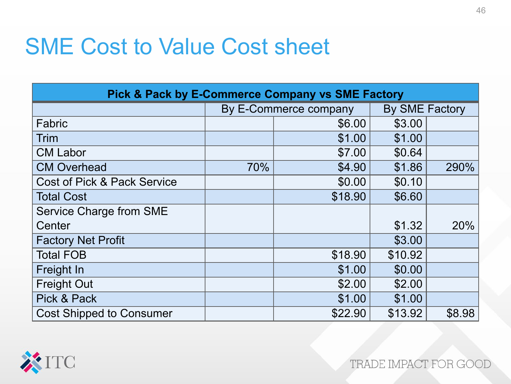#### SME Cost to Value Cost sheet

| <b>Pick &amp; Pack by E-Commerce Company vs SME Factory</b> |                       |         |                       |        |  |  |  |
|-------------------------------------------------------------|-----------------------|---------|-----------------------|--------|--|--|--|
|                                                             | By E-Commerce company |         | <b>By SME Factory</b> |        |  |  |  |
| Fabric                                                      |                       | \$6.00  | \$3.00                |        |  |  |  |
| <b>Trim</b>                                                 |                       | \$1.00  | \$1.00                |        |  |  |  |
| <b>CM Labor</b>                                             |                       | \$7.00  | \$0.64                |        |  |  |  |
| <b>CM Overhead</b>                                          | 70%                   | \$4.90  | \$1.86                | 290%   |  |  |  |
| <b>Cost of Pick &amp; Pack Service</b>                      |                       | \$0.00  | \$0.10                |        |  |  |  |
| <b>Total Cost</b>                                           |                       | \$18.90 | \$6.60                |        |  |  |  |
| <b>Service Charge from SME</b>                              |                       |         |                       |        |  |  |  |
| Center                                                      |                       |         | \$1.32                | 20%    |  |  |  |
| <b>Factory Net Profit</b>                                   |                       |         | \$3.00                |        |  |  |  |
| <b>Total FOB</b>                                            |                       | \$18.90 | \$10.92               |        |  |  |  |
| Freight In                                                  |                       | \$1.00  | \$0.00                |        |  |  |  |
| <b>Freight Out</b>                                          |                       | \$2.00  | \$2.00                |        |  |  |  |
| Pick & Pack                                                 |                       | \$1.00  | \$1.00                |        |  |  |  |
| <b>Cost Shipped to Consumer</b>                             |                       | \$22.90 | \$13.92               | \$8.98 |  |  |  |